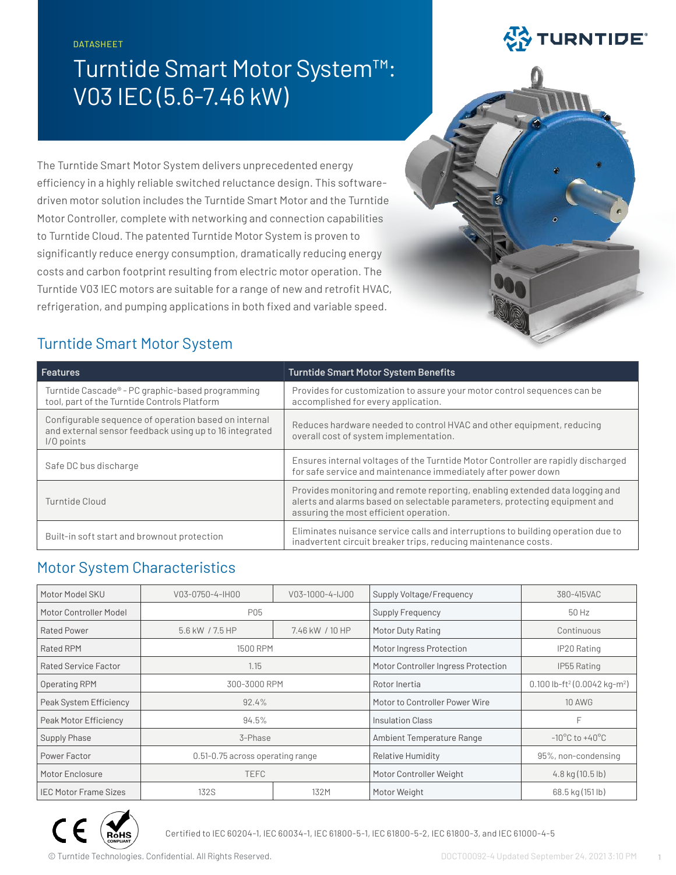DATASHEET

# Turntide Smart Motor System™: V03 IEC (5.6-7.46 kW)

**EX TURNTIDE** 

The Turntide Smart Motor System delivers unprecedented energy efficiency in a highly reliable switched reluctance design. This softwaredriven motor solution includes the Turntide Smart Motor and the Turntide Motor Controller, complete with networking and connection capabilities to Turntide Cloud. The patented Turntide Motor System is proven to significantly reduce energy consumption, dramatically reducing energy costs and carbon footprint resulting from electric motor operation. The Turntide V03 IEC motors are suitable for a range of new and retrofit HVAC, refrigeration, and pumping applications in both fixed and variable speed.

## Turntide Smart Motor System

| <b>Features</b>                                                                                                              | <b>Turntide Smart Motor System Benefits</b>                                                                                                                                                          |
|------------------------------------------------------------------------------------------------------------------------------|------------------------------------------------------------------------------------------------------------------------------------------------------------------------------------------------------|
| Turntide Cascade® - PC graphic-based programming<br>tool, part of the Turntide Controls Platform                             | Provides for customization to assure your motor control sequences can be<br>accomplished for every application.                                                                                      |
| Configurable sequence of operation based on internal<br>and external sensor feedback using up to 16 integrated<br>I/O points | Reduces hardware needed to control HVAC and other equipment, reducing<br>overall cost of system implementation.                                                                                      |
| Safe DC bus discharge                                                                                                        | Ensures internal voltages of the Turntide Motor Controller are rapidly discharged<br>for safe service and maintenance immediately after power down                                                   |
| Turntide Cloud                                                                                                               | Provides monitoring and remote reporting, enabling extended data logging and<br>alerts and alarms based on selectable parameters, protecting equipment and<br>assuring the most efficient operation. |
| Built-in soft start and brownout protection                                                                                  | Eliminates nuisance service calls and interruptions to building operation due to<br>inadvertent circuit breaker trips, reducing maintenance costs.                                                   |

### Motor System Characteristics

| Motor Model SKU              | V03-0750-4-IH00                  | V03-1000-4-IJ00 | Supply Voltage/Frequency            | 380-415VAC                                           |
|------------------------------|----------------------------------|-----------------|-------------------------------------|------------------------------------------------------|
| Motor Controller Model       | P05                              |                 | Supply Frequency                    | 50 Hz                                                |
| <b>Rated Power</b>           | 5.6 kW / 7.5 HP                  | 7.46 kW / 10 HP | Motor Duty Rating                   | Continuous                                           |
| <b>Rated RPM</b>             | 1500 RPM                         |                 | Motor Ingress Protection            | IP20 Rating                                          |
| Rated Service Factor         | 1.15                             |                 | Motor Controller Ingress Protection | IP55 Rating                                          |
| Operating RPM                | 300-3000 RPM                     |                 | Rotor Inertia                       | 0.100 lb-ft <sup>2</sup> (0.0042 kg-m <sup>2</sup> ) |
| Peak System Efficiency       | 92.4%                            |                 | Motor to Controller Power Wire      | <b>10 AWG</b>                                        |
| Peak Motor Efficiency        | 94.5%                            |                 | Insulation Class                    | F                                                    |
| Supply Phase                 | 3-Phase                          |                 | Ambient Temperature Range           | $-10^{\circ}$ C to $+40^{\circ}$ C                   |
| Power Factor                 | 0.51-0.75 across operating range |                 | Relative Humidity                   | 95%, non-condensing                                  |
| Motor Enclosure              | <b>TEFC</b>                      |                 | Motor Controller Weight             | $4.8$ kg $(10.5$ lb)                                 |
| <b>IEC Motor Frame Sizes</b> | <b>132S</b>                      | 132M            | Motor Weight                        | 68.5 kg (151 lb)                                     |



Certified to IEC 60204-1, IEC 60034-1, IEC 61800-5-1, IEC 61800-5-2, IEC 61800-3, and IEC 61000-4-5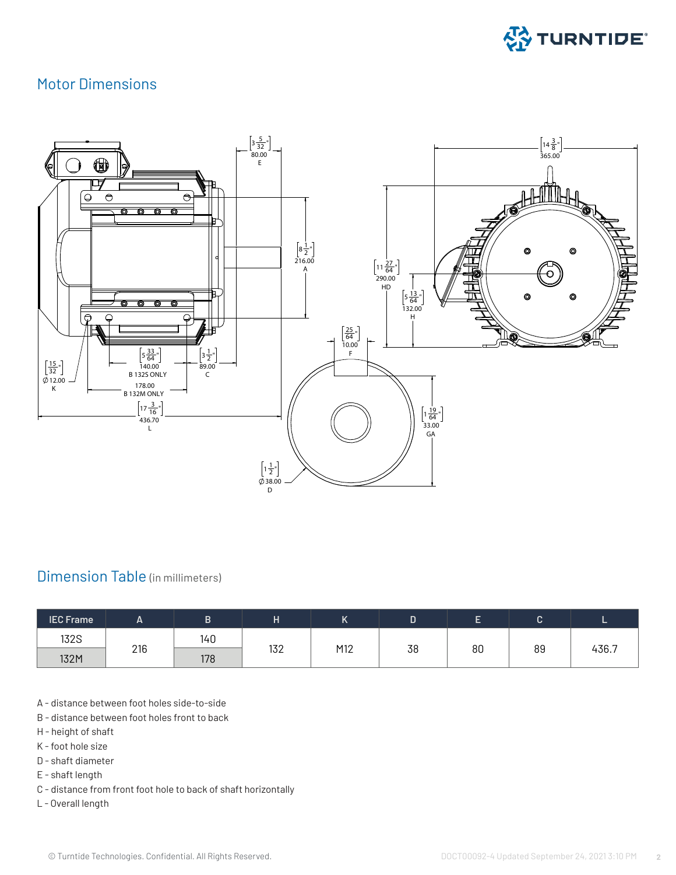

#### Motor Dimensions



#### Dimension Table (in millimeters)

| <b>IEC Frame</b> | <u>_</u> |     |     | ''  | ш  |    |    |       |
|------------------|----------|-----|-----|-----|----|----|----|-------|
| <b>132S</b>      |          | 140 |     |     |    |    |    |       |
| 132M             | 216      | 178 | 132 | M12 | 38 | 80 | 89 | 436.7 |

- A distance between foot holes side-to-side
- B distance between foot holes front to back
- H height of shaft
- K foot hole size
- D shaft diameter
- E shaft length
- C distance from front foot hole to back of shaft horizontally
- L Overall length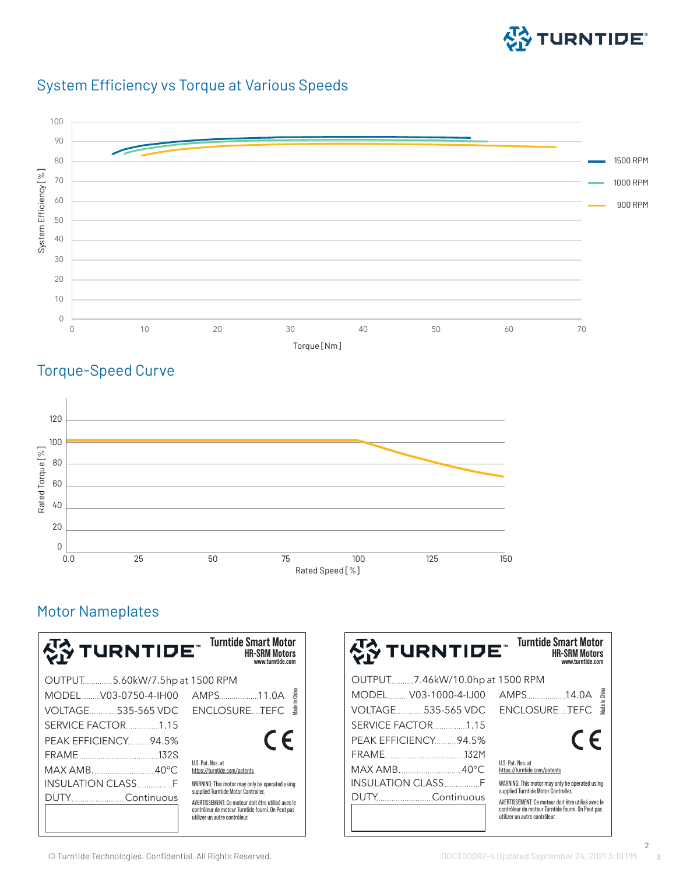

#### System Efficiency vs Torque at Various Speeds



#### Torque-Speed Curve



#### Motor Nameplates